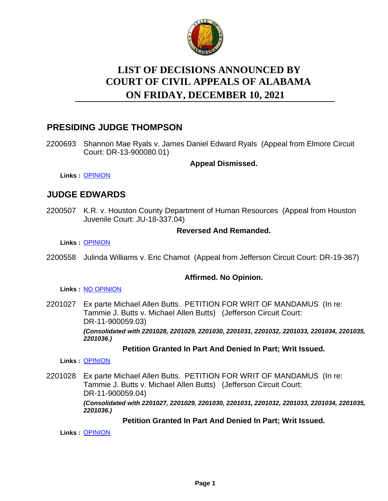

# **LIST OF DECISIONS ANNOUNCED BY ON FRIDAY, DECEMBER 10, 2021 COURT OF CIVIL APPEALS OF ALABAMA**

# **PRESIDING JUDGE THOMPSON**

2200693 Shannon Mae Ryals v. James Daniel Edward Ryals (Appeal from Elmore Circuit Court: DR-13-900080.01)

**Appeal Dismissed.**

**Links :** [OPINION](https://acis.alabama.gov/displaydocs.cfm?no=1110980&event=67N0J1Q3Q)

# **JUDGE EDWARDS**

2200507 K.R. v. Houston County Department of Human Resources (Appeal from Houston Juvenile Court: JU-18-337.04)

# **Reversed And Remanded.**

**Links :** [OPINION](https://acis.alabama.gov/displaydocs.cfm?no=1110979&event=67N0J1Q0D)

2200558 Julinda Williams v. Eric Chamot (Appeal from Jefferson Circuit Court: DR-19-367)

# **Affirmed. No Opinion.**

#### **Links :** [NO OPINION](https://acis.alabama.gov/displaydocs.cfm?no=1110983&event=67N0J1QPR)

2201027 Ex parte Michael Allen Butts. PETITION FOR WRIT OF MANDAMUS (In re: Tammie J. Butts v. Michael Allen Butts) (Jefferson Circuit Court: DR-11-900059.03) *(Consolidated with 2201028, 2201029, 2201030, 2201031, 2201032, 2201033, 2201034, 2201035, 2201036.)*

# **Petition Granted In Part And Denied In Part; Writ Issued.**

**Links :** [OPINION](https://acis.alabama.gov/displaydocs.cfm?no=1110982&event=67N0J1Q94)

2201028 Ex parte Michael Allen Butts. PETITION FOR WRIT OF MANDAMUS (In re: Tammie J. Butts v. Michael Allen Butts) (Jefferson Circuit Court: DR-11-900059.04) *(Consolidated with 2201027, 2201029, 2201030, 2201031, 2201032, 2201033, 2201034, 2201035, 2201036.)*

# **Petition Granted In Part And Denied In Part; Writ Issued.**

**Links :** [OPINION](https://acis.alabama.gov/displaydocs.cfm?no=1110982&event=67N0J1Q94)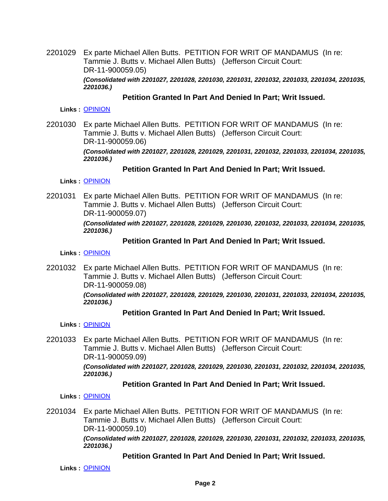2201029 Ex parte Michael Allen Butts. PETITION FOR WRIT OF MANDAMUS (In re: Tammie J. Butts v. Michael Allen Butts) (Jefferson Circuit Court: DR-11-900059.05) *(Consolidated with 2201027, 2201028, 2201030, 2201031, 2201032, 2201033, 2201034, 2201035, 2201036.)*

#### **Petition Granted In Part And Denied In Part; Writ Issued.**

**Links :** [OPINION](https://acis.alabama.gov/displaydocs.cfm?no=1110982&event=67N0J1Q94)

2201030 Ex parte Michael Allen Butts. PETITION FOR WRIT OF MANDAMUS (In re: Tammie J. Butts v. Michael Allen Butts) (Jefferson Circuit Court: DR-11-900059.06) *(Consolidated with 2201027, 2201028, 2201029, 2201031, 2201032, 2201033, 2201034, 2201035, 2201036.)*

#### **Petition Granted In Part And Denied In Part; Writ Issued.**

**Links :** [OPINION](https://acis.alabama.gov/displaydocs.cfm?no=1110982&event=67N0J1Q94)

2201031 Ex parte Michael Allen Butts. PETITION FOR WRIT OF MANDAMUS (In re: Tammie J. Butts v. Michael Allen Butts) (Jefferson Circuit Court: DR-11-900059.07)

> *(Consolidated with 2201027, 2201028, 2201029, 2201030, 2201032, 2201033, 2201034, 2201035, 2201036.)*

#### **Petition Granted In Part And Denied In Part; Writ Issued.**

**Links :** [OPINION](https://acis.alabama.gov/displaydocs.cfm?no=1110982&event=67N0J1Q94)

2201032 Ex parte Michael Allen Butts. PETITION FOR WRIT OF MANDAMUS (In re: Tammie J. Butts v. Michael Allen Butts) (Jefferson Circuit Court: DR-11-900059.08)

*(Consolidated with 2201027, 2201028, 2201029, 2201030, 2201031, 2201033, 2201034, 2201035, 2201036.)*

#### **Petition Granted In Part And Denied In Part; Writ Issued.**

**Links :** [OPINION](https://acis.alabama.gov/displaydocs.cfm?no=1110982&event=67N0J1Q94)

2201033 Ex parte Michael Allen Butts. PETITION FOR WRIT OF MANDAMUS (In re: Tammie J. Butts v. Michael Allen Butts) (Jefferson Circuit Court: DR-11-900059.09)

*(Consolidated with 2201027, 2201028, 2201029, 2201030, 2201031, 2201032, 2201034, 2201035, 2201036.)*

#### **Petition Granted In Part And Denied In Part; Writ Issued.**

**Links :** [OPINION](https://acis.alabama.gov/displaydocs.cfm?no=1110982&event=67N0J1Q94)

2201034 Ex parte Michael Allen Butts. PETITION FOR WRIT OF MANDAMUS (In re: Tammie J. Butts v. Michael Allen Butts) (Jefferson Circuit Court: DR-11-900059.10)

> *(Consolidated with 2201027, 2201028, 2201029, 2201030, 2201031, 2201032, 2201033, 2201035, 2201036.)*

#### **Petition Granted In Part And Denied In Part; Writ Issued.**

**Links :** [OPINION](https://acis.alabama.gov/displaydocs.cfm?no=1110982&event=67N0J1Q94)